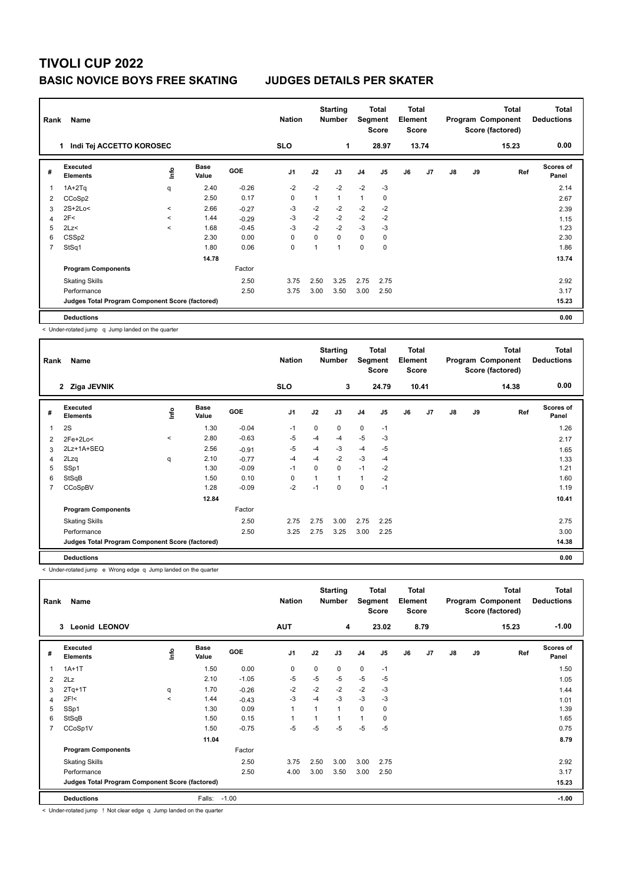## **TIVOLI CUP 2022 BASIC NOVICE BOYS FREE SKATING JUDGES DETAILS PER SKATER**

| Rank<br>Name                   |                                                 |             |                      |            |                |              | <b>Starting</b><br><b>Number</b> |                | Total<br>Total<br>Segment<br>Element<br><b>Score</b><br><b>Score</b> |    | Program Component |               | Total<br>Score (factored) | <b>Total</b><br><b>Deductions</b> |                           |
|--------------------------------|-------------------------------------------------|-------------|----------------------|------------|----------------|--------------|----------------------------------|----------------|----------------------------------------------------------------------|----|-------------------|---------------|---------------------------|-----------------------------------|---------------------------|
| Indi Tej ACCETTO KOROSEC<br>1. |                                                 |             |                      |            | <b>SLO</b>     |              | 1                                |                | 28.97                                                                |    | 13.74             |               |                           | 15.23                             | 0.00                      |
| #                              | Executed<br><b>Elements</b>                     | <u>info</u> | <b>Base</b><br>Value | <b>GOE</b> | J <sub>1</sub> | J2           | J3                               | J <sub>4</sub> | J <sub>5</sub>                                                       | J6 | J <sub>7</sub>    | $\mathsf{J}8$ | J9                        | Ref                               | <b>Scores of</b><br>Panel |
|                                | $1A+2Tq$                                        | q           | 2.40                 | $-0.26$    | $-2$           | $-2$         | $-2$                             | $-2$           | $-3$                                                                 |    |                   |               |                           |                                   | 2.14                      |
| 2                              | CCoSp2                                          |             | 2.50                 | 0.17       | $\mathbf 0$    | $\mathbf{1}$ | 1                                | $\mathbf{1}$   | 0                                                                    |    |                   |               |                           |                                   | 2.67                      |
| 3                              | 2S+2Lo<                                         | $\,<\,$     | 2.66                 | $-0.27$    | $-3$           | $-2$         | $-2$                             | $-2$           | $-2$                                                                 |    |                   |               |                           |                                   | 2.39                      |
| 4                              | 2F<                                             | $\prec$     | 1.44                 | $-0.29$    | -3             | $-2$         | $-2$                             | $-2$           | $-2$                                                                 |    |                   |               |                           |                                   | 1.15                      |
| 5                              | 2Lz<                                            | $\prec$     | 1.68                 | $-0.45$    | $-3$           | $-2$         | $-2$                             | $-3$           | -3                                                                   |    |                   |               |                           |                                   | 1.23                      |
| 6                              | CSS <sub>p2</sub>                               |             | 2.30                 | 0.00       | 0              | $\Omega$     | $\Omega$                         | $\mathbf 0$    | 0                                                                    |    |                   |               |                           |                                   | 2.30                      |
| $\overline{7}$                 | StSq1                                           |             | 1.80                 | 0.06       | 0              | 1            |                                  | $\mathbf 0$    | 0                                                                    |    |                   |               |                           |                                   | 1.86                      |
|                                |                                                 |             | 14.78                |            |                |              |                                  |                |                                                                      |    |                   |               |                           |                                   | 13.74                     |
|                                | <b>Program Components</b>                       |             |                      | Factor     |                |              |                                  |                |                                                                      |    |                   |               |                           |                                   |                           |
|                                | <b>Skating Skills</b>                           |             |                      | 2.50       | 3.75           | 2.50         | 3.25                             | 2.75           | 2.75                                                                 |    |                   |               |                           |                                   | 2.92                      |
|                                | Performance                                     |             |                      | 2.50       | 3.75           | 3.00         | 3.50                             | 3.00           | 2.50                                                                 |    |                   |               |                           |                                   | 3.17                      |
|                                | Judges Total Program Component Score (factored) |             |                      |            |                |              |                                  |                |                                                                      |    |                   |               |                           |                                   | 15.23                     |
|                                | <b>Deductions</b>                               |             |                      |            |                |              |                                  |                |                                                                      |    |                   |               |                           |                                   | 0.00                      |

< Under-rotated jump q Jump landed on the quarter

|   | Name<br>Rank                                    |       |                      |            | <b>Nation</b>  |                | <b>Starting</b><br><b>Number</b> | <b>Total</b><br>Segment<br><b>Score</b> |       | Total<br>Element<br><b>Score</b> |                | <b>Total</b><br>Program Component<br>Score (factored) |    |       | <b>Total</b><br><b>Deductions</b> |
|---|-------------------------------------------------|-------|----------------------|------------|----------------|----------------|----------------------------------|-----------------------------------------|-------|----------------------------------|----------------|-------------------------------------------------------|----|-------|-----------------------------------|
|   | 2 Ziga JEVNIK                                   |       |                      |            | <b>SLO</b>     |                | 3                                |                                         | 24.79 |                                  | 10.41          |                                                       |    | 14.38 | 0.00                              |
| # | Executed<br><b>Elements</b>                     | ١m    | <b>Base</b><br>Value | <b>GOE</b> | J <sub>1</sub> | J2             | J3                               | J <sub>4</sub>                          | J5    | J6                               | J <sub>7</sub> | $\mathsf{J}8$                                         | J9 | Ref   | <b>Scores of</b><br>Panel         |
| 1 | 2S                                              |       | 1.30                 | $-0.04$    | $-1$           | $\Omega$       | 0                                | $\mathbf 0$                             | $-1$  |                                  |                |                                                       |    |       | 1.26                              |
| 2 | 2Fe+2Lo<                                        | $\,<$ | 2.80                 | $-0.63$    | $-5$           | $-4$           | $-4$                             | $-5$                                    | $-3$  |                                  |                |                                                       |    |       | 2.17                              |
| 3 | 2Lz+1A+SEQ                                      |       | 2.56                 | $-0.91$    | $-5$           | $-4$           | $-3$                             | $-4$                                    | $-5$  |                                  |                |                                                       |    |       | 1.65                              |
| 4 | 2Lzq                                            | q     | 2.10                 | $-0.77$    | $-4$           | $-4$           | $-2$                             | $-3$                                    | $-4$  |                                  |                |                                                       |    |       | 1.33                              |
| 5 | SSp1                                            |       | 1.30                 | $-0.09$    | $-1$           | $\Omega$       | 0                                | $-1$                                    | $-2$  |                                  |                |                                                       |    |       | 1.21                              |
| 6 | StSqB                                           |       | 1.50                 | 0.10       | 0              | $\overline{1}$ | 1                                | $\mathbf{1}$                            | $-2$  |                                  |                |                                                       |    |       | 1.60                              |
|   | CCoSpBV                                         |       | 1.28                 | $-0.09$    | $-2$           | $-1$           | 0                                | 0                                       | $-1$  |                                  |                |                                                       |    |       | 1.19                              |
|   |                                                 |       | 12.84                |            |                |                |                                  |                                         |       |                                  |                |                                                       |    |       | 10.41                             |
|   | <b>Program Components</b>                       |       |                      | Factor     |                |                |                                  |                                         |       |                                  |                |                                                       |    |       |                                   |
|   | <b>Skating Skills</b>                           |       |                      | 2.50       | 2.75           | 2.75           | 3.00                             | 2.75                                    | 2.25  |                                  |                |                                                       |    |       | 2.75                              |
|   | Performance                                     |       |                      | 2.50       | 3.25           | 2.75           | 3.25                             | 3.00                                    | 2.25  |                                  |                |                                                       |    |       | 3.00                              |
|   | Judges Total Program Component Score (factored) |       |                      |            |                |                |                                  |                                         |       |                                  |                |                                                       |    |       | 14.38                             |
|   | <b>Deductions</b>                               |       |                      |            |                |                |                                  |                                         |       |                                  |                |                                                       |    |       | 0.00                              |

< Under-rotated jump e Wrong edge q Jump landed on the quarter

| Name<br>Rank |                                                 |             |                      |            | <b>Nation</b>  |          | <b>Starting</b><br><b>Number</b> |                | <b>Total</b><br><b>Total</b><br>Element<br>Segment<br><b>Score</b><br><b>Score</b> |    | Total<br>Program Component<br>Score (factored) |               |    | <b>Total</b><br><b>Deductions</b> |                           |
|--------------|-------------------------------------------------|-------------|----------------------|------------|----------------|----------|----------------------------------|----------------|------------------------------------------------------------------------------------|----|------------------------------------------------|---------------|----|-----------------------------------|---------------------------|
|              | <b>Leonid LEONOV</b><br>3                       |             |                      |            | <b>AUT</b>     |          | 4                                |                | 23.02                                                                              |    | 8.79                                           |               |    | 15.23                             | $-1.00$                   |
| #            | Executed<br><b>Elements</b>                     | <u>lnfo</u> | <b>Base</b><br>Value | <b>GOE</b> | J <sub>1</sub> | J2       | J3                               | J <sub>4</sub> | J5                                                                                 | J6 | J7                                             | $\mathsf{J}8$ | J9 | Ref                               | <b>Scores of</b><br>Panel |
|              | $1A+1T$                                         |             | 1.50                 | 0.00       | $\mathbf 0$    | $\Omega$ | 0                                | $\mathbf 0$    | $-1$                                                                               |    |                                                |               |    |                                   | 1.50                      |
| 2            | 2Lz                                             |             | 2.10                 | $-1.05$    | -5             | $-5$     | $-5$                             | $-5$           | $-5$                                                                               |    |                                                |               |    |                                   | 1.05                      |
| 3            | $2Tq+1T$                                        | q           | 1.70                 | $-0.26$    | $-2$           | $-2$     | $-2$                             | $-2$           | $-3$                                                                               |    |                                                |               |    |                                   | 1.44                      |
| 4            | 2F <sub>1</sub>                                 | $\prec$     | 1.44                 | $-0.43$    | $-3$           | $-4$     | $-3$                             | $-3$           | $-3$                                                                               |    |                                                |               |    |                                   | 1.01                      |
| 5            | SSp1                                            |             | 1.30                 | 0.09       | $\mathbf{1}$   |          | 1                                | $\mathbf 0$    | $\mathbf 0$                                                                        |    |                                                |               |    |                                   | 1.39                      |
| 6            | StSqB                                           |             | 1.50                 | 0.15       | 1              |          | 1                                | $\mathbf{1}$   | 0                                                                                  |    |                                                |               |    |                                   | 1.65                      |
| 7            | CCoSp1V                                         |             | 1.50                 | $-0.75$    | $-5$           | $-5$     | $-5$                             | $-5$           | $-5$                                                                               |    |                                                |               |    |                                   | 0.75                      |
|              |                                                 |             | 11.04                |            |                |          |                                  |                |                                                                                    |    |                                                |               |    |                                   | 8.79                      |
|              | <b>Program Components</b>                       |             |                      | Factor     |                |          |                                  |                |                                                                                    |    |                                                |               |    |                                   |                           |
|              | <b>Skating Skills</b>                           |             |                      | 2.50       | 3.75           | 2.50     | 3.00                             | 3.00           | 2.75                                                                               |    |                                                |               |    |                                   | 2.92                      |
|              | Performance                                     |             |                      | 2.50       | 4.00           | 3.00     | 3.50                             | 3.00           | 2.50                                                                               |    |                                                |               |    |                                   | 3.17                      |
|              | Judges Total Program Component Score (factored) |             |                      |            |                |          |                                  |                |                                                                                    |    |                                                |               |    |                                   | 15.23                     |
|              | <b>Deductions</b>                               |             | Falls:               | $-1.00$    |                |          |                                  |                |                                                                                    |    |                                                |               |    |                                   | $-1.00$                   |

< Under-rotated jump ! Not clear edge q Jump landed on the quarter